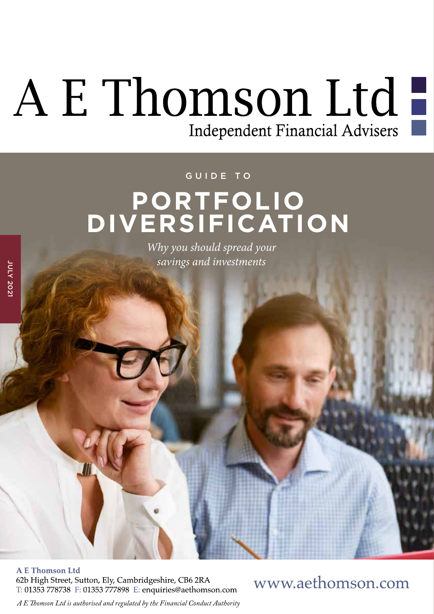# A E Thomson Ltd

#### GUIDE TO

## **PORTFOLIO DIVERSIFICATION**

*Why you should spread your savings and investments*

**A E Thomson Ltd** 62b High Street, Sutton, Ely, Cambridgeshire, CB6 2RA T: 01353 778738 F: 01353 777898 E: enquiries@aethomson.com

www.aethomson.com

*A E Tomson Ltd is authorised and regulated by the Financial Conduct Authority*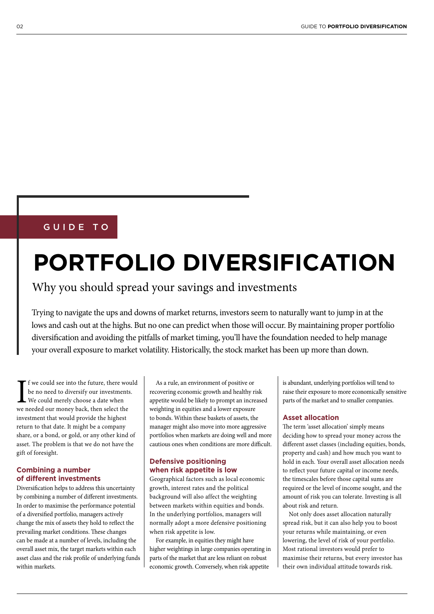#### GUIDE TO

## **PORTFOLIO DIVERSIFICATION**

### Why you should spread your savings and investments

Trying to navigate the ups and downs of market returns, investors seem to naturally want to jump in at the lows and cash out at the highs. But no one can predict when those will occur. By maintaining proper portfolio diversifcation and avoiding the pitfalls of market timing, you'll have the foundation needed to help manage your overall exposure to market volatility. Historically, the stock market has been up more than down.

If we could see into the future, there wo<br>be no need to diversify our investments<br>We could merely choose a date when<br>we needed our money back, then select the f we could see into the future, there would be no need to diversify our investments. We could merely choose a date when investment that would provide the highest return to that date. It might be a company share, or a bond, or gold, or any other kind of asset. The problem is that we do not have the gift of foresight.

#### **Combining a number of different investments**

Diversifcation helps to address this uncertainty by combining a number of diferent investments. In order to maximise the performance potential of a diversifed portfolio, managers actively change the mix of assets they hold to refect the prevailing market conditions. These changes can be made at a number of levels, including the overall asset mix, the target markets within each asset class and the risk profle of underlying funds within markets.

As a rule, an environment of positive or recovering economic growth and healthy risk appetite would be likely to prompt an increased weighting in equities and a lower exposure to bonds. Within these baskets of assets, the manager might also move into more aggressive portfolios when markets are doing well and more cautious ones when conditions are more difcult.

#### **Defensive positioning when risk appetite is low**

Geographical factors such as local economic growth, interest rates and the political background will also affect the weighting between markets within equities and bonds. In the underlying portfolios, managers will normally adopt a more defensive positioning when risk appetite is low.

For example, in equities they might have higher weightings in large companies operating in parts of the market that are less reliant on robust economic growth. Conversely, when risk appetite

is abundant, underlying portfolios will tend to raise their exposure to more economically sensitive parts of the market and to smaller companies.

#### **Asset allocation**

The term 'asset allocation' simply means deciding how to spread your money across the different asset classes (including equities, bonds, property and cash) and how much you want to hold in each. Your overall asset allocation needs to refect your future capital or income needs, the timescales before those capital sums are required or the level of income sought, and the amount of risk you can tolerate. Investing is all about risk and return.

Not only does asset allocation naturally spread risk, but it can also help you to boost your returns while maintaining, or even lowering, the level of risk of your portfolio. Most rational investors would prefer to maximise their returns, but every investor has their own individual attitude towards risk.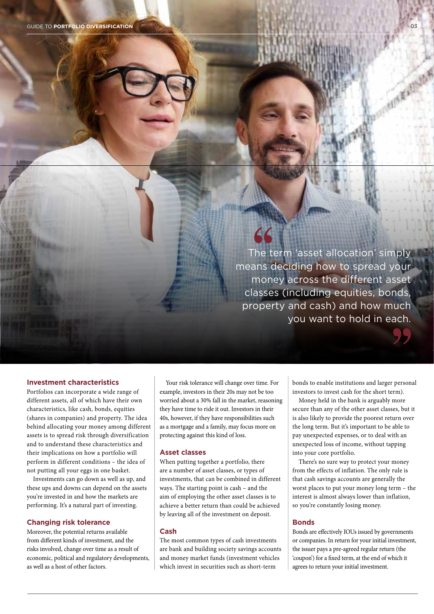The term 'asset allocation' simply means deciding how to spread your money across the different asset classes (including equities, bonds, property and cash) and how much you want to hold in each.

#### **Investment characteristics**

Portfolios can incorporate a wide range of different assets, all of which have their own characteristics, like cash, bonds, equities (shares in companies) and property. The idea behind allocating your money among different assets is to spread risk through diversification and to understand these characteristics and their implications on how a portfolio will perform in different conditions – the idea of not putting all your eggs in one basket.

Investments can go down as well as up, and these ups and downs can depend on the assets you're invested in and how the markets are performing. It's a natural part of investing.

#### **Changing risk tolerance**

Moreover, the potential returns available from diferent kinds of investment, and the risks involved, change over time as a result of economic, political and regulatory developments, as well as a host of other factors.

Your risk tolerance will change over time. For example, investors in their 20s may not be too worried about a 30% fall in the market, reasoning they have time to ride it out. Investors in their 40s, however, if they have responsibilities such as a mortgage and a family, may focus more on protecting against this kind of loss.

#### **Asset classes**

When putting together a portfolio, there are a number of asset classes, or types of investments, that can be combined in different ways. The starting point is cash – and the aim of employing the other asset classes is to achieve a better return than could be achieved by leaving all of the investment on deposit.

#### **Cash**

The most common types of cash investments are bank and building society savings accounts and money market funds (investment vehicles which invest in securities such as short-term

bonds to enable institutions and larger personal investors to invest cash for the short term).

Money held in the bank is arguably more secure than any of the other asset classes, but it is also likely to provide the poorest return over the long term. But it's important to be able to pay unexpected expenses, or to deal with an unexpected loss of income, without tapping into your core portfolio.

There's no sure way to protect your money from the effects of inflation. The only rule is that cash savings accounts are generally the worst places to put your money long term – the interest is almost always lower than inflation, so you're constantly losing money.

#### **Bonds**

Bonds are efectively IOUs issued by governments or companies. In return for your initial investment, the issuer pays a pre-agreed regular return (the 'coupon') for a fxed term, at the end of which it agrees to return your initial investment.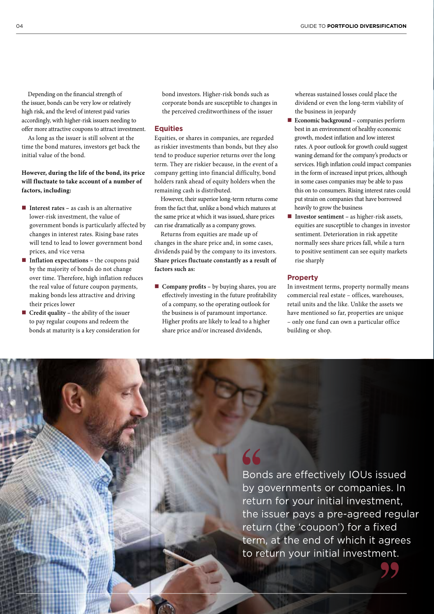Depending on the fnancial strength of the issuer, bonds can be very low or relatively high risk, and the level of interest paid varies accordingly, with higher-risk issuers needing to ofer more attractive coupons to attract investment.

As long as the issuer is still solvent at the time the bond matures, investors get back the initial value of the bond.

#### **However, during the life of the bond, its price will fluctuate to take account of a number of factors, including:**

- **Interest rates** as cash is an alternative lower-risk investment, the value of government bonds is particularly affected by changes in interest rates. Rising base rates will tend to lead to lower government bond prices, and vice versa
- Inflation expectations the coupons paid by the majority of bonds do not change over time. Therefore, high inflation reduces the real value of future coupon payments, making bonds less attractive and driving their prices lower
- n **Credit quality –** the ability of the issuer to pay regular coupons and redeem the bonds at maturity is a key consideration for

bond investors. Higher-risk bonds such as corporate bonds are susceptible to changes in the perceived creditworthiness of the issuer

#### **Equities**

Equities, or shares in companies, are regarded as riskier investments than bonds, but they also tend to produce superior returns over the long term. They are riskier because, in the event of a company getting into financial difficulty, bond holders rank ahead of equity holders when the remaining cash is distributed.

However, their superior long-term returns come from the fact that, unlike a bond which matures at the same price at which it was issued, share prices can rise dramatically as a company grows.

Returns from equities are made up of changes in the share price and, in some cases, dividends paid by the company to its investors. **Share prices fluctuate constantly as a result of factors such as:**

■ **Company profits** – by buying shares, you are efectively investing in the future proftability of a company, so the operating outlook for the business is of paramount importance. Higher profts are likely to lead to a higher share price and/or increased dividends,

whereas sustained losses could place the dividend or even the long-term viability of the business in jeopardy

- n **Economic background –** companies perform best in an environment of healthy economic growth, modest infation and low interest rates. A poor outlook for growth could suggest waning demand for the company's products or services. High infation could impact companies in the form of increased input prices, although in some cases companies may be able to pass this on to consumers. Rising interest rates could put strain on companies that have borrowed heavily to grow the business
- **Investor sentiment** as higher-risk assets, equities are susceptible to changes in investor sentiment. Deterioration in risk appetite normally sees share prices fall, while a turn to positive sentiment can see equity markets rise sharply

#### **Property**

In investment terms, property normally means commercial real estate – offices, warehouses, retail units and the like. Unlike the assets we have mentioned so far, properties are unique – only one fund can own a particular office building or shop.

Bonds are effectively IOUs issued by governments or companies. In return for your initial investment, the issuer pays a pre-agreed regular return (the 'coupon') for a fixed term, at the end of which it agrees to return your initial investment.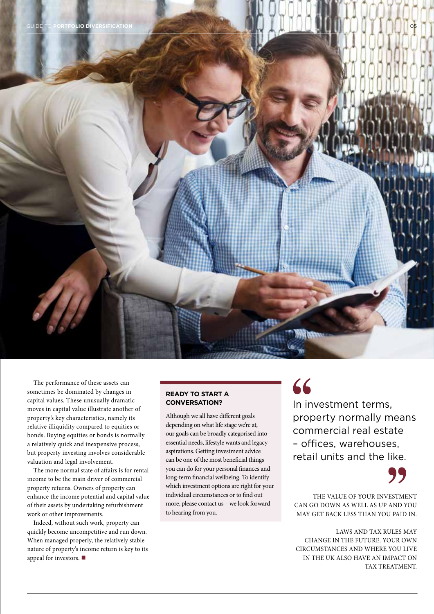

The performance of these assets can sometimes be dominated by changes in capital values. These unusually dramatic moves in capital value illustrate another of property's key characteristics, namely its relative illiquidity compared to equities or bonds. Buying equities or bonds is normally a relatively quick and inexpensive process, but property investing involves considerable valuation and legal involvement.

The more normal state of affairs is for rental income to be the main driver of commercial property returns. Owners of property can enhance the income potential and capital value of their assets by undertaking refurbishment work or other improvements.

Indeed, without such work, property can quickly become uncompetitive and run down. When managed properly, the relatively stable nature of property's income return is key to its appeal for investors.  $\blacksquare$ 

#### **READY TO START A CONVERSATION?**

Although we all have diferent goals depending on what life stage we're at, our goals can be broadly categorised into essential needs, lifestyle wants and legacy aspirations. Getting investment advice can be one of the most benefcial things you can do for your personal fnances and long-term fnancial wellbeing. To identify which investment options are right for your individual circumstances or to fnd out more, please contact us – we look forward to hearing from you.

## 66

In investment terms, property normally means commercial real estate – offices, warehouses, retail units and the like.

THE VALUE OF YOUR INVESTMENT CAN GO DOWN AS WELL AS UP AND YOU MAY GET BACK LESS THAN YOU PAID IN.

LAWS AND TAX RULES MAY CHANGE IN THE FUTURE. YOUR OWN CIRCUMSTANCES AND WHERE YOU LIVE IN THE UK ALSO HAVE AN IMPACT ON TAX TREATMENT.